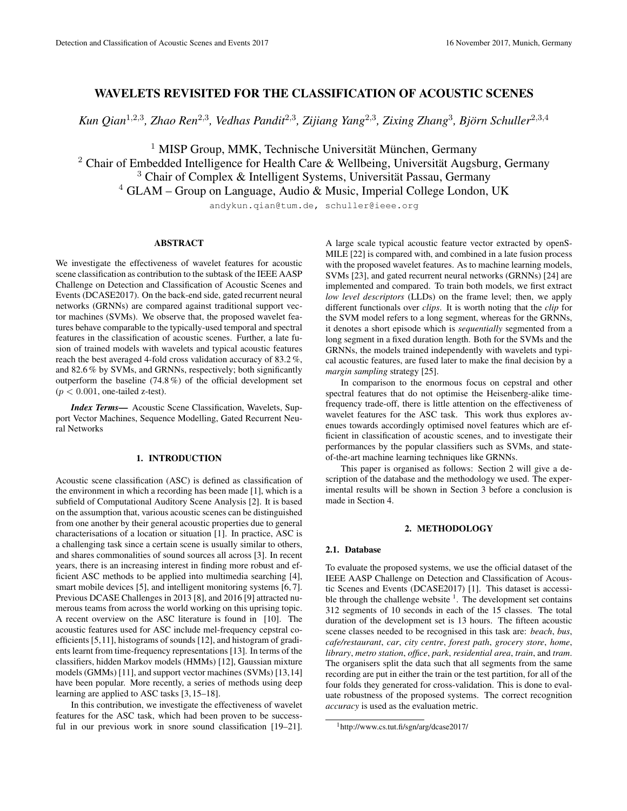# WAVELETS REVISITED FOR THE CLASSIFICATION OF ACOUSTIC SCENES

Kun Qian<sup>1,2,3</sup>, Zhao Ren<sup>2,3</sup>, Vedhas Pandit<sup>2,3</sup>, Zijiang Yang<sup>2,3</sup>, Zixing Zhang<sup>3</sup>, Björn Schuller<sup>2,3,4</sup>

 $<sup>1</sup>$  MISP Group, MMK, Technische Universität München, Germany</sup>

<sup>2</sup> Chair of Embedded Intelligence for Health Care & Wellbeing, Universität Augsburg, Germany  $3$  Chair of Complex & Intelligent Systems, Universität Passau, Germany

 $4$  GLAM – Group on Language, Audio & Music, Imperial College London, UK

andykun.qian@tum.de, schuller@ieee.org

# ABSTRACT

We investigate the effectiveness of wavelet features for acoustic scene classification as contribution to the subtask of the IEEE AASP Challenge on Detection and Classification of Acoustic Scenes and Events (DCASE2017). On the back-end side, gated recurrent neural networks (GRNNs) are compared against traditional support vector machines (SVMs). We observe that, the proposed wavelet features behave comparable to the typically-used temporal and spectral features in the classification of acoustic scenes. Further, a late fusion of trained models with wavelets and typical acoustic features reach the best averaged 4-fold cross validation accuracy of 83.2 %, and 82.6 % by SVMs, and GRNNs, respectively; both significantly outperform the baseline (74.8 %) of the official development set  $(p < 0.001$ , one-tailed z-test).

*Index Terms*— Acoustic Scene Classification, Wavelets, Support Vector Machines, Sequence Modelling, Gated Recurrent Neural Networks

## 1. INTRODUCTION

Acoustic scene classification (ASC) is defined as classification of the environment in which a recording has been made [1], which is a subfield of Computational Auditory Scene Analysis [2]. It is based on the assumption that, various acoustic scenes can be distinguished from one another by their general acoustic properties due to general characterisations of a location or situation [1]. In practice, ASC is a challenging task since a certain scene is usually similar to others, and shares commonalities of sound sources all across [3]. In recent years, there is an increasing interest in finding more robust and efficient ASC methods to be applied into multimedia searching [4], smart mobile devices [5], and intelligent monitoring systems [6, 7]. Previous DCASE Challenges in 2013 [8], and 2016 [9] attracted numerous teams from across the world working on this uprising topic. A recent overview on the ASC literature is found in [10]. The acoustic features used for ASC include mel-frequency cepstral coefficients [5,11], histograms of sounds [12], and histogram of gradients learnt from time-frequency representations [13]. In terms of the classifiers, hidden Markov models (HMMs) [12], Gaussian mixture models (GMMs) [11], and support vector machines (SVMs) [13,14] have been popular. More recently, a series of methods using deep learning are applied to ASC tasks [3, 15–18].

In this contribution, we investigate the effectiveness of wavelet features for the ASC task, which had been proven to be successful in our previous work in snore sound classification [19–21].

A large scale typical acoustic feature vector extracted by openS-MILE [22] is compared with, and combined in a late fusion process with the proposed wavelet features. As to machine learning models, SVMs [23], and gated recurrent neural networks (GRNNs) [24] are implemented and compared. To train both models, we first extract *low level descriptors* (LLDs) on the frame level; then, we apply different functionals over *clips*. It is worth noting that the *clip* for the SVM model refers to a long segment, whereas for the GRNNs, it denotes a short episode which is *sequentially* segmented from a long segment in a fixed duration length. Both for the SVMs and the GRNNs, the models trained independently with wavelets and typical acoustic features, are fused later to make the final decision by a *margin sampling* strategy [25].

In comparison to the enormous focus on cepstral and other spectral features that do not optimise the Heisenberg-alike timefrequency trade-off, there is little attention on the effectiveness of wavelet features for the ASC task. This work thus explores avenues towards accordingly optimised novel features which are efficient in classification of acoustic scenes, and to investigate their performances by the popular classifiers such as SVMs, and stateof-the-art machine learning techniques like GRNNs.

This paper is organised as follows: Section 2 will give a description of the database and the methodology we used. The experimental results will be shown in Section 3 before a conclusion is made in Section 4.

# 2. METHODOLOGY

### 2.1. Database

To evaluate the proposed systems, we use the official dataset of the IEEE AASP Challenge on Detection and Classification of Acoustic Scenes and Events (DCASE2017) [1]. This dataset is accessible through the challenge website  $\frac{1}{1}$ . The development set contains 312 segments of 10 seconds in each of the 15 classes. The total duration of the development set is 13 hours. The fifteen acoustic scene classes needed to be recognised in this task are: *beach*, *bus*, *cafe/restaurant*, *car*, *city centre*, *forest path*, *grocery store*, *home*, *library*, *metro station*, *office*, *park*, *residential area*, *train*, and *tram*. The organisers split the data such that all segments from the same recording are put in either the train or the test partition, for all of the four folds they generated for cross-validation. This is done to evaluate robustness of the proposed systems. The correct recognition *accuracy* is used as the evaluation metric.

<sup>1</sup>http://www.cs.tut.fi/sgn/arg/dcase2017/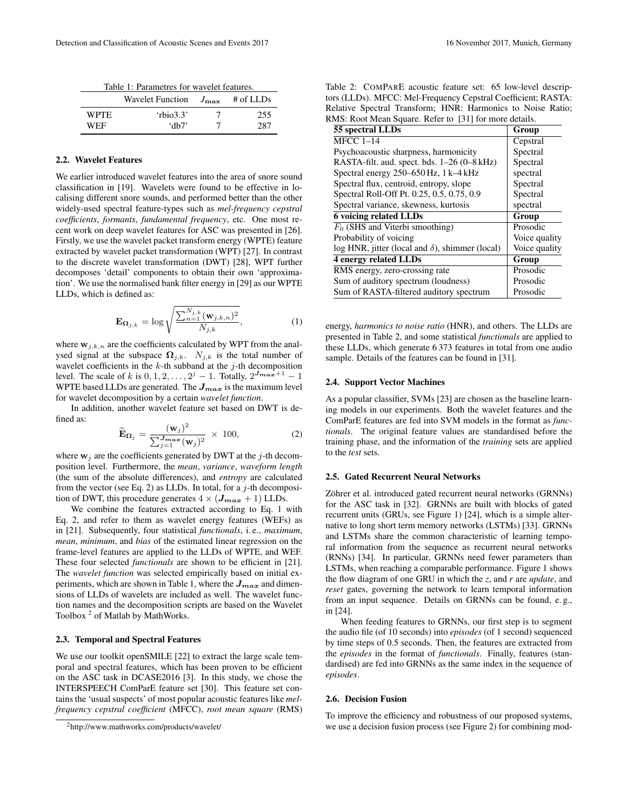| Table 1: Parametres for wavelet features. |  |
|-------------------------------------------|--|
|                                           |  |

|       | <b>Wavelet Function</b> | $J_{\rm max}$ | $#$ of LLDs |
|-------|-------------------------|---------------|-------------|
| WPTE. | 'rbio3.3'               |               | 255         |
| WEF   | ʻdh7'                   |               | 287         |

# 2.2. Wavelet Features

We earlier introduced wavelet features into the area of snore sound classification in [19]. Wavelets were found to be effective in localising different snore sounds, and performed better than the other widely-used spectral feature-types such as *mel-frequency cepstral coefficients*, *formants*, *fundamental frequency*, etc. One most recent work on deep wavelet features for ASC was presented in [26]. Firstly, we use the wavelet packet transform energy (WPTE) feature extracted by wavelet packet transformation (WPT) [27]. In contrast to the discrete wavelet transformation (DWT) [28], WPT further decomposes 'detail' components to obtain their own 'approximation'. We use the normalised bank filter energy in [29] as our WPTE LLDs, which is defined as:

$$
\mathbf{E}_{\Omega_{j,k}} = \log \sqrt{\frac{\sum_{n=1}^{N_{j,k}} (\mathbf{w}_{j,k,n})^2}{N_{j,k}}},
$$
(1)

where  $\mathbf{w}_{j,k,n}$  are the coefficients calculated by WPT from the analysed signal at the subspace  $\Omega_{j,k}$ .  $N_{j,k}$  is the total number of wavelet coefficients in the  $k$ -th subband at the  $j$ -th decomposition level. The scale of k is  $0, 1, 2, \ldots, 2^{j} - 1$ . Totally,  $2^{J_{max}+1} - 1$ WPTE based LLDs are generated. The  $J_{max}$  is the maximum level for wavelet decomposition by a certain *wavelet function*.

In addition, another wavelet feature set based on DWT is defined as:

$$
\widetilde{\mathbf{E}}_{\Omega_j} = \frac{(\mathbf{w}_j)^2}{\sum_{j=1}^{J_{max}} (\mathbf{w}_j)^2} \times 100,
$$
\n(2)

where  $w_i$  are the coefficients generated by DWT at the j-th decomposition level. Furthermore, the *mean*, *variance*, *waveform length* (the sum of the absolute differences), and *entropy* are calculated from the vector (see Eq. 2) as LLDs. In total, for a  $j$ -th decomposition of DWT, this procedure generates  $4 \times (J_{max} + 1)$  LLDs.

We combine the features extracted according to Eq. 1 with Eq. 2, and refer to them as wavelet energy features (WEFs) as in [21]. Subsequently, four statistical *functionals*, i. e., *maximum*, *mean*, *minimum*, and *bias* of the estimated linear regression on the frame-level features are applied to the LLDs of WPTE, and WEF. These four selected *functionals* are shown to be efficient in [21]. The *wavelet function* was selected empirically based on initial experiments, which are shown in Table 1, where the  $J_{max}$  and dimensions of LLDs of wavelets are included as well. The wavelet function names and the decomposition scripts are based on the Wavelet Toolbox<sup>2</sup> of Matlab by MathWorks.

### 2.3. Temporal and Spectral Features

We use our toolkit openSMILE [22] to extract the large scale temporal and spectral features, which has been proven to be efficient on the ASC task in DCASE2016 [3]. In this study, we chose the INTERSPEECH ComParE feature set [30]. This feature set contains the 'usual suspects' of most popular acoustic features like *melfrequency cepstral coefficient* (MFCC), *root mean square* (RMS)

| Table 2: COMPARE acoustic feature set: 65 low-level descrip-  |
|---------------------------------------------------------------|
| tors (LLDs). MFCC: Mel-Frequency Cepstral Coefficient; RASTA: |
| Relative Spectral Transform; HNR: Harmonics to Noise Ratio;   |
| RMS: Root Mean Square. Refer to [31] for more details.        |

| 55 spectral LLDs                                       | Group         |
|--------------------------------------------------------|---------------|
| $MFCC$ 1-14                                            | Cepstral      |
| Psychoacoustic sharpness, harmonicity                  | Spectral      |
| RASTA-filt. aud. spect. bds. 1-26 (0-8 kHz)            | Spectral      |
| Spectral energy 250-650 Hz, 1 k-4 kHz                  | spectral      |
| Spectral flux, centroid, entropy, slope                | Spectral      |
| Spectral Roll-Off Pt. 0.25, 0.5, 0.75, 0.9             | Spectral      |
| Spectral variance, skewness, kurtosis                  | spectral      |
| <b>6 voicing related LLDs</b>                          | Group         |
| $F_0$ (SHS and Viterbi smoothing)                      | Prosodic      |
| Probability of voicing                                 | Voice quality |
| log HNR, jitter (local and $\delta$ ), shimmer (local) | Voice quality |
| <b>4 energy related LLDs</b>                           | Group         |
| RMS energy, zero-crossing rate                         | Prosodic      |
| Sum of auditory spectrum (loudness)                    | Prosodic      |
| Sum of RASTA-filtered auditory spectrum                | Prosodic      |

energy, *harmonics to noise ratio* (HNR), and others. The LLDs are presented in Table 2, and some statistical *functionals* are applied to these LLDs, which generate 6 373 features in total from one audio sample. Details of the features can be found in [31].

#### 2.4. Support Vector Machines

As a popular classifier, SVMs [23] are chosen as the baseline learning models in our experiments. Both the wavelet features and the ComParE features are fed into SVM models in the format as *functionals*. The original feature values are standardised before the training phase, and the information of the *training* sets are applied to the *test* sets.

# 2.5. Gated Recurrent Neural Networks

Zöhrer et al. introduced gated recurrent neural networks (GRNNs) for the ASC task in [32]. GRNNs are built with blocks of gated recurrent units (GRUs, see Figure 1) [24], which is a simple alternative to long short term memory networks (LSTMs) [33]. GRNNs and LSTMs share the common characteristic of learning temporal information from the sequence as recurrent neural networks (RNNs) [34]. In particular, GRNNs need fewer parameters than LSTMs, when reaching a comparable performance. Figure 1 shows the flow diagram of one GRU in which the *z*, and *r* are *update*, and *reset* gates, governing the network to learn temporal information from an input sequence. Details on GRNNs can be found, e. g., in [24].

When feeding features to GRNNs, our first step is to segment the audio file (of 10 seconds) into *episodes* (of 1 second) sequenced by time steps of 0.5 seconds. Then, the features are extracted from the *episodes* in the format of *functionals*. Finally, features (standardised) are fed into GRNNs as the same index in the sequence of *episodes*.

#### 2.6. Decision Fusion

To improve the efficiency and robustness of our proposed systems, we use a decision fusion process (see Figure 2) for combining mod-

<sup>2</sup>http://www.mathworks.com/products/wavelet/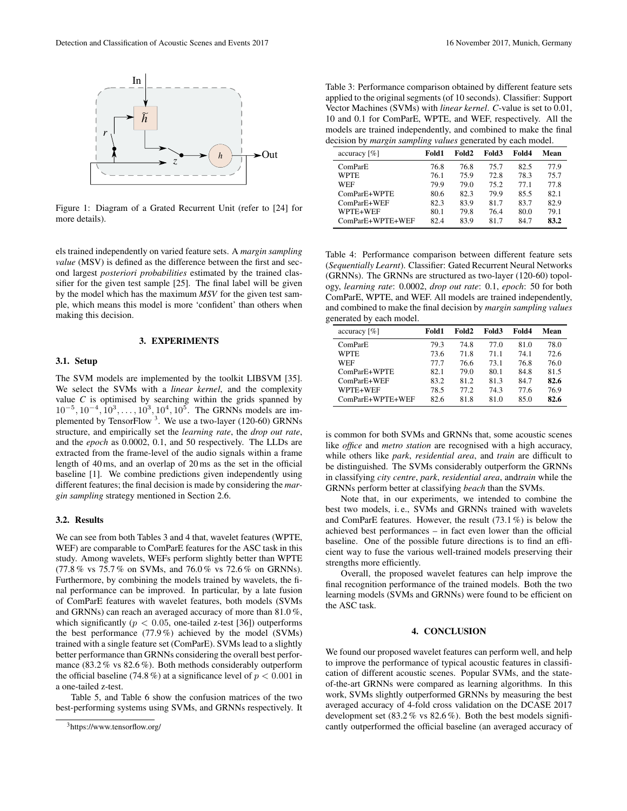

Figure 1: Diagram of a Grated Recurrent Unit (refer to [24] for more details).

els trained independently on varied feature sets. A *margin sampling value* (MSV) is defined as the difference between the first and second largest *posteriori probabilities* estimated by the trained classifier for the given test sample [25]. The final label will be given by the model which has the maximum *MSV* for the given test sample, which means this model is more 'confident' than others when making this decision.

### 3. EXPERIMENTS

### 3.1. Setup

The SVM models are implemented by the toolkit LIBSVM [35]. We select the SVMs with a *linear kernel*, and the complexity value  $C$  is optimised by searching within the grids spanned by  $10^{-5}$ ,  $10^{-4}$ ,  $10^{3}$ , ...,  $10^{3}$ ,  $10^{4}$ ,  $10^{5}$ . The GRNNs models are implemented by TensorFlow<sup>3</sup>. We use a two-layer (120-60) GRNNs structure, and empirically set the *learning rate*, the *drop out rate*, and the *epoch* as 0.0002, 0.1, and 50 respectively. The LLDs are extracted from the frame-level of the audio signals within a frame length of 40 ms, and an overlap of 20 ms as the set in the official baseline [1]. We combine predictions given independently using different features; the final decision is made by considering the *margin sampling* strategy mentioned in Section 2.6.

## 3.2. Results

We can see from both Tables 3 and 4 that, wavelet features (WPTE, WEF) are comparable to ComParE features for the ASC task in this study. Among wavelets, WEFs perform slightly better than WPTE (77.8 % vs 75.7 % on SVMs, and 76.0 % vs 72.6 % on GRNNs). Furthermore, by combining the models trained by wavelets, the final performance can be improved. In particular, by a late fusion of ComParE features with wavelet features, both models (SVMs and GRNNs) can reach an averaged accuracy of more than 81.0 %, which significantly ( $p < 0.05$ , one-tailed z-test [36]) outperforms the best performance (77.9 %) achieved by the model (SVMs) trained with a single feature set (ComParE). SVMs lead to a slightly better performance than GRNNs considering the overall best performance (83.2 % vs 82.6 %). Both methods considerably outperform the official baseline (74.8 %) at a significance level of  $p < 0.001$  in a one-tailed z-test.

Table 5, and Table 6 show the confusion matrices of the two best-performing systems using SVMs, and GRNNs respectively. It

Table 3: Performance comparison obtained by different feature sets applied to the original segments (of 10 seconds). Classifier: Support Vector Machines (SVMs) with *linear kernel*. *C*-value is set to 0.01, 10 and 0.1 for ComParE, WPTE, and WEF, respectively. All the models are trained independently, and combined to make the final decision by *margin sampling values* generated by each model.

| accuracy $[\%]$  | Fold 1 | Fold2 | Fold3 | Fold4 | Mean |
|------------------|--------|-------|-------|-------|------|
| ComParE          | 76.8   | 76.8  | 75.7  | 82.5  | 77.9 |
| <b>WPTE</b>      | 76.1   | 75.9  | 72.8  | 78.3  | 75.7 |
| <b>WEF</b>       | 79.9   | 79.0  | 75.2  | 77 1  | 778  |
| ComParE+WPTE     | 80.6   | 82.3  | 79.9  | 85.5  | 82.1 |
| ComParE+WEF      | 82.3   | 83.9  | 81.7  | 83.7  | 82.9 |
| WPTE+WEF         | 80.1   | 798   | 76.4  | 80.0  | 791  |
| ComParE+WPTE+WEF | 82.4   | 839   | 817   | 847   | 83.2 |

Table 4: Performance comparison between different feature sets (*Sequentially Learnt*). Classifier: Gated Recurrent Neural Networks (GRNNs). The GRNNs are structured as two-layer (120-60) topology, *learning rate*: 0.0002, *drop out rate*: 0.1, *epoch*: 50 for both ComParE, WPTE, and WEF. All models are trained independently, and combined to make the final decision by *margin sampling values* generated by each model.

| accuracy $[\%]$  | Fold1 | Fold2 | Fold3 | Fold4 | Mean |
|------------------|-------|-------|-------|-------|------|
| ComParE          | 79.3  | 74.8  | 77.0  | 81.0  | 78.0 |
| <b>WPTE</b>      | 73.6  | 71.8  | 71.1  | 74.1  | 72.6 |
| <b>WEF</b>       | 77 7  | 76.6  | 73.1  | 76.8  | 76.0 |
| ComParE+WPTE     | 82.1  | 79.0  | 80.1  | 84.8  | 81.5 |
| ComParE+WEF      | 83.2  | 81.2  | 81.3  | 84.7  | 82.6 |
| WPTE+WEF         | 78.5  | 77.2  | 74.3  | 77 6  | 76.9 |
| ComParE+WPTE+WEF | 82.6  | 81.8  | 81.0  | 85.0  | 82.6 |

is common for both SVMs and GRNNs that, some acoustic scenes like *office* and *metro station* are recognised with a high accuracy, while others like *park*, *residential area*, and *train* are difficult to be distinguished. The SVMs considerably outperform the GRNNs in classifying *city centre*, *park*, *residential area*, and*train* while the GRNNs perform better at classifying *beach* than the SVMs.

Note that, in our experiments, we intended to combine the best two models, i. e., SVMs and GRNNs trained with wavelets and ComParE features. However, the result (73.1 %) is below the achieved best performances – in fact even lower than the official baseline. One of the possible future directions is to find an efficient way to fuse the various well-trained models preserving their strengths more efficiently.

Overall, the proposed wavelet features can help improve the final recognition performance of the trained models. Both the two learning models (SVMs and GRNNs) were found to be efficient on the ASC task.

### 4. CONCLUSION

We found our proposed wavelet features can perform well, and help to improve the performance of typical acoustic features in classification of different acoustic scenes. Popular SVMs, and the stateof-the-art GRNNs were compared as learning algorithms. In this work, SVMs slightly outperformed GRNNs by measuring the best averaged accuracy of 4-fold cross validation on the DCASE 2017 development set (83.2 % vs 82.6 %). Both the best models significantly outperformed the official baseline (an averaged accuracy of

<sup>3</sup>https://www.tensorflow.org/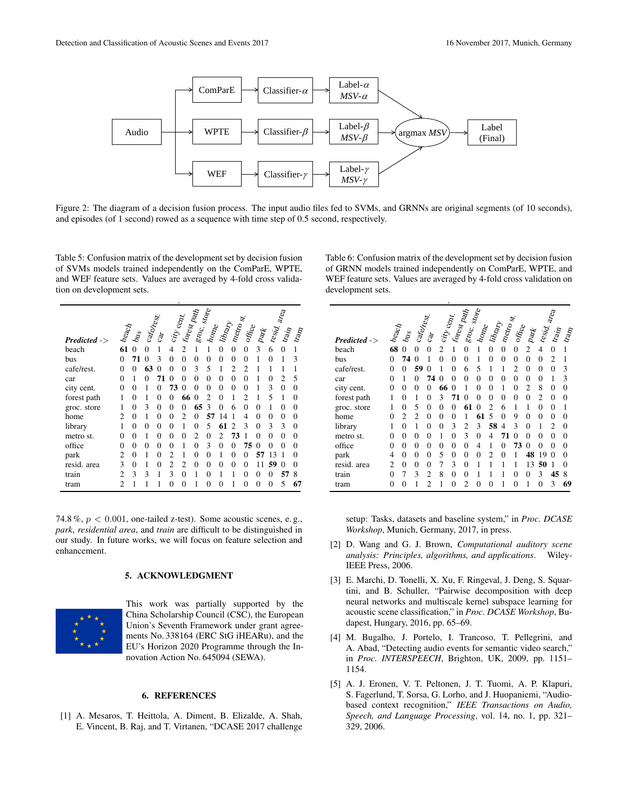

Figure 2: The diagram of a decision fusion process. The input audio files fed to SVMs, and GRNNs are original segments (of 10 seconds), and episodes (of 1 second) rowed as a sequence with time step of 0.5 second, respectively.

Table 5: Confusion matrix of the development set by decision fusion of SVMs models trained independently on the ComParE, WPTE, and WEF feature sets. Values are averaged by 4-fold cross validation on development sets.

| $Predicted -$ | $b_{\rm eq}$   | $b_{\mathcal{U}_\mathcal{S}}$ | cafe <sub>rest</sub> | $c_{\rm 3r}$ | $\mathbf{c}_{i}$ $\mathbf{c}_{e_{\mathcal{H}}}$ | $\hbar v_{\rm s}$ | groc. store    | $h_{\rm O\eta_{\rm Q}}$ | <b>Fibrary</b> | $n_{\mathrm{c}\mathrm{r}_\mathrm{O}}$ sr. | or $\hat{m}_\mathrm{Ce}$ | $pa$ k   | resid. area | $tr_{2q}$ | $\sigma_{\rm sp}$ |
|---------------|----------------|-------------------------------|----------------------|--------------|-------------------------------------------------|-------------------|----------------|-------------------------|----------------|-------------------------------------------|--------------------------|----------|-------------|-----------|-------------------|
| beach         | 61             | $\Omega$                      | $\Omega$             | 1            | 4                                               | $\mathfrak{D}$    | 1              | 1                       | $\theta$       | $\overline{0}$                            | $\overline{0}$           | 3        | 6           | $\theta$  | 1                 |
| bus           | 0              | 71                            | 0                    | 3            | $\theta$                                        | $\Omega$          | $\Omega$       | $\Omega$                | $\theta$       | $\theta$                                  | $\theta$                 | 1        | $\theta$    | 1         | 3                 |
| cafe/rest.    | $\theta$       | 0                             | 63                   | $\Omega$     | 0                                               | 0                 | 3              | 5                       | 1              | $\overline{c}$                            | $\overline{c}$           | 1        | 1           | 1         | 1                 |
| car           | $\theta$       | 1                             | 0                    | 71           | $\Omega$                                        | 0                 | 0              | $\Omega$                | $\theta$       | $\theta$                                  | $\theta$                 | 1        | $\theta$    | 2         | 5                 |
| city cent.    | 0              | $\theta$                      | 1                    | 0            | 73                                              | 0                 | 0              | $\theta$                | $\theta$       | $\theta$                                  | $\theta$                 | 1        | 3           | 0         | 0                 |
| forest path   | 1              | $\theta$                      | 1                    | $\Omega$     | 0                                               | 66                | $\Omega$       | っ                       | $\theta$       | 1                                         | $\overline{c}$           | 1        | 5           | 1         | 0                 |
| groc. store   | 1              | $\Omega$                      | 3                    | $\theta$     | $\theta$                                        | 0                 | 65             | 3                       | $\Omega$       | 6                                         | $\theta$                 | $\theta$ | 1           | 0         | 0                 |
| home          | $\overline{c}$ | $\theta$                      | 1                    | $\Omega$     | $\theta$                                        | $\mathfrak{D}$    | 0              | 57                      | Δ              | 1                                         | $\overline{4}$           | $\theta$ | $\theta$    | 0         | $\Omega$          |
| library       | 1              | $\theta$                      | $\theta$             | $\theta$     | $\theta$                                        | 1                 | $\theta$       | 5                       | 61             | $\mathfrak{D}$                            | $\mathbf{3}$             | $\theta$ | 3           | 3         | $\theta$          |
| metro st.     | 0              | $\theta$                      | 1                    | $\theta$     | $\theta$                                        | 0                 | $\overline{c}$ | $\Omega$                | $\overline{c}$ | 73                                        | 1                        | $\theta$ | $\theta$    | 0         | $\Omega$          |
| office        | 0              | $\theta$                      | $\theta$             | $\theta$     | $\theta$                                        | 1                 | $\theta$       | 3                       | $\theta$       | 0                                         | 75                       | $\Omega$ | 0           | $\Omega$  | 0                 |
| park          | $\overline{c}$ | $\theta$                      | 1                    | $\theta$     | $\overline{c}$                                  | 1                 | 0              | $\theta$                | 1              | $\theta$                                  | $\Omega$                 | 57       | 13          |           | 0                 |
| resid. area   | 3              | $\theta$                      | 1                    | $\theta$     | $\overline{c}$                                  | 2                 | 0              | $\Omega$                | $\theta$       | $\theta$                                  | $\theta$                 | 11       | 59          | Ω         | 0                 |
| train         | $\overline{c}$ | $\mathbf{3}$                  | 3                    | 1            | 3                                               | $\Omega$          |                | $\Omega$                | 1              | 1                                         | $\theta$                 | $\theta$ | $\Omega$    | 57        | 8                 |
| tram          | $\overline{c}$ | 1                             | 1                    |              | $\Omega$                                        | 0                 |                | $\Omega$                | $\Omega$       | 1                                         | $\theta$                 | $\theta$ | $\theta$    | 5         | 67                |

74.8 %,  $p < 0.001$ , one-tailed z-test). Some acoustic scenes, e.g., *park*, *residential area*, and *train* are difficult to be distinguished in our study. In future works, we will focus on feature selection and enhancement.

# 5. ACKNOWLEDGMENT



This work was partially supported by the China Scholarship Council (CSC), the European Union's Seventh Framework under grant agreements No. 338164 (ERC StG iHEARu), and the EU's Horizon 2020 Programme through the Innovation Action No. 645094 (SEWA).

### 6. REFERENCES

[1] A. Mesaros, T. Heittola, A. Diment, B. Elizalde, A. Shah, E. Vincent, B. Raj, and T. Virtanen, "DCASE 2017 challenge Table 6: Confusion matrix of the development set by decision fusion of GRNN models trained independently on ComParE, WPTE, and WEF feature sets. Values are averaged by 4-fold cross validation on development sets.

| $Predicted ->$ | $b_{\mathrm{Eq}_C \hspace{-3pt}/_{\text{Eq}}}$ | $b_{\mathcal{U}_S}$ | cafe/rest      | $c_{\rm 3}$    | $c_{i\!f\!y}c_{\rm eq\!f\!f}$ | forest path | groc. store    | $h_{0\eta_{\mathbb{R}}}$ | library        | $n_{\mathrm{c}t_{\mathrm{r}}}$ | or $\hat{m}_\mathrm{Ce}$ | Pa             | resid. area    | train    | $\sigma_{\rm sp}$ |
|----------------|------------------------------------------------|---------------------|----------------|----------------|-------------------------------|-------------|----------------|--------------------------|----------------|--------------------------------|--------------------------|----------------|----------------|----------|-------------------|
| beach          | 68                                             | 0                   | $\theta$       | $\Omega$       | $\overline{c}$                | 1           | $\Omega$       | 1                        | $\theta$       | $\theta$                       | $\overline{0}$           | $\overline{c}$ | $\overline{4}$ | $\theta$ | 1                 |
| bus            | 0                                              | 74                  | $\Omega$       | 1              | $\theta$                      | $\theta$    | 0              | 1                        | 0              | $\theta$                       | $\theta$                 | $\Omega$       | $\Omega$       | 2        | 1                 |
| cafe/rest.     | 0                                              | $\Omega$            | 59             | $\theta$       | 1                             | 0           | 6              | 5                        | 1              | 1                              | $\overline{2}$           | $\Omega$       | $\Omega$       | 0        | 3                 |
| car            | 0                                              | 1                   | 0              | 74             | $\Omega$                      | 0           | 0              | $\Omega$                 | 0              | $\theta$                       | $\Omega$                 | $\Omega$       | $\Omega$       | 1        | 3                 |
| city cent.     | 0                                              | 0                   | $\theta$       | $\theta$       | 66                            | $\Omega$    |                | $\Omega$                 | $\theta$       | 1                              | $\theta$                 | $\overline{c}$ | 8              | 0        | $\Omega$          |
| forest path    | 1                                              | $\Omega$            | 1              | $\Omega$       | 3                             | 71          | Ω              | $\Omega$                 | $\Omega$       | $\Omega$                       | $\theta$                 | $\Omega$       | $\mathfrak{D}$ | 0        | $\Omega$          |
| groc. store    |                                                | $\Omega$            | 5              | $\theta$       | $\Omega$                      | 0           | 61             | $\Omega$                 | 2              | 6                              | 1                        | 1              | $\Omega$       | 0        | 1                 |
| home           | $\Omega$                                       | $\overline{c}$      | $\overline{c}$ | $\theta$       | $\Omega$                      | $\theta$    | 1              | 61                       | 5              | $\Omega$                       | 9                        | $\Omega$       | $\Omega$       | 0        | $\Omega$          |
| library        | 1                                              | $\theta$            | 1              | $\theta$       | $\theta$                      | 3           | $\overline{c}$ | 3                        | 58             | 4                              | 3                        | $\Omega$       | 1              | 2        | $\Omega$          |
| metro st.      | 0                                              | 0                   | $\theta$       | $\theta$       | 1                             | 0           | 3              | $\Omega$                 | 4              | 71                             | $\theta$                 | $\Omega$       | $\Omega$       | 0        | $\Omega$          |
| office         | 0                                              | $\theta$            | $\theta$       | $\theta$       | $\theta$                      | 0           | $\Omega$       | $\overline{4}$           | 1              | $\theta$                       | 73                       | 0              | 0              | $\Omega$ | $\Omega$          |
| park           | 4                                              | 0                   | $\theta$       | $\theta$       | 5                             | 0           | 0              | $\Omega$                 | $\mathfrak{D}$ | $\Omega$                       | 1                        | 48             | 19             | $\Omega$ | $\Omega$          |
| resid. area    | $\mathfrak{D}$                                 | 0                   | $\theta$       | $\theta$       | 7                             | 3           | 0              |                          | 1              | 1                              | 1                        | 13             | 50             |          | $\Omega$          |
| train          | $\Omega$                                       | 7                   | 3              | $\mathfrak{D}$ | 8                             | $\Omega$    | $\Omega$       | 1                        | 1              | 1                              | $\theta$                 | $\Omega$       | 3              | 45       | 8                 |
| tram           | 0                                              | $\theta$            | 1              | $\mathfrak{D}$ | 1                             | $\theta$    | $\mathfrak{D}$ | 0                        | 0              |                                | $\Omega$                 | 1              | $\theta$       | 3        | 69                |

setup: Tasks, datasets and baseline system," in *Proc. DCASE Workshop*, Munich, Germany, 2017, in press.

- [2] D. Wang and G. J. Brown, *Computational auditory scene analysis: Principles, algorithms, and applications*. Wiley-IEEE Press, 2006.
- [3] E. Marchi, D. Tonelli, X. Xu, F. Ringeval, J. Deng, S. Squartini, and B. Schuller, "Pairwise decomposition with deep neural networks and multiscale kernel subspace learning for acoustic scene classification," in *Proc. DCASE Workshop*, Budapest, Hungary, 2016, pp. 65–69.
- [4] M. Bugalho, J. Portelo, I. Trancoso, T. Pellegrini, and A. Abad, "Detecting audio events for semantic video search," in *Proc. INTERSPEECH*, Brighton, UK, 2009, pp. 1151– 1154.
- [5] A. J. Eronen, V. T. Peltonen, J. T. Tuomi, A. P. Klapuri, S. Fagerlund, T. Sorsa, G. Lorho, and J. Huopaniemi, "Audiobased context recognition," *IEEE Transactions on Audio, Speech, and Language Processing*, vol. 14, no. 1, pp. 321– 329, 2006.